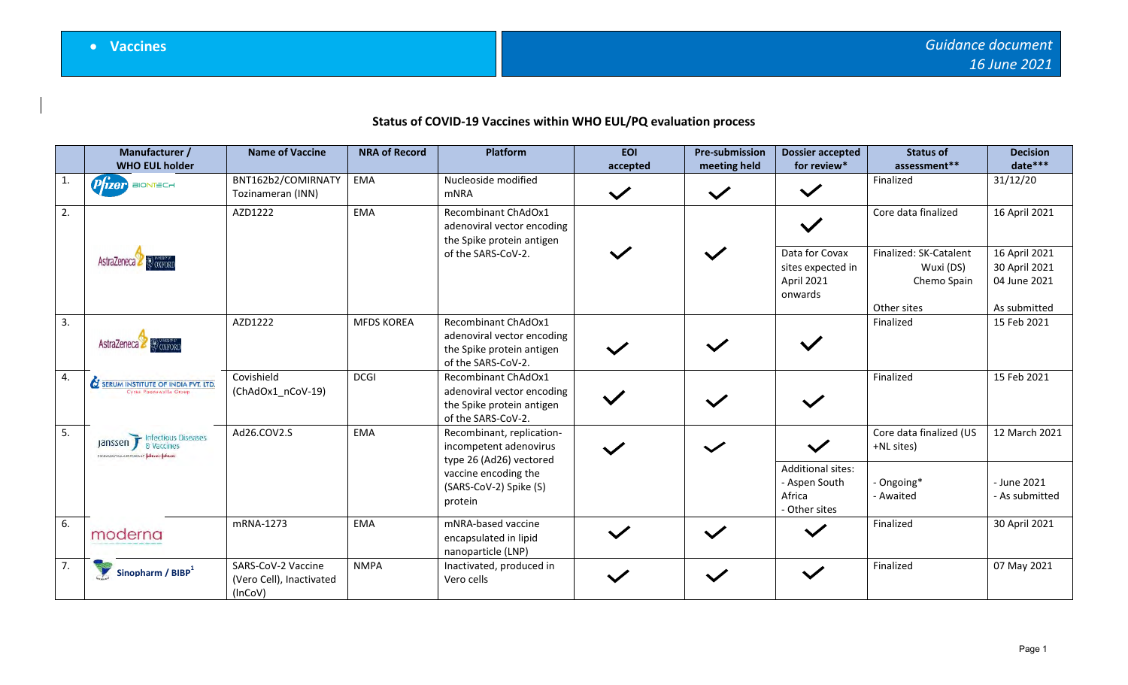## **Status of COVID-19 Vaccines within WHO EUL/PQ evaluation process**

|                | Manufacturer /                                                                | <b>Name of Vaccine</b>                                    | <b>NRA of Record</b> | Platform                                                                                             | <b>EOI</b>   | <b>Pre-submission</b> | <b>Dossier accepted</b>                                              | <b>Status of</b>                                                  | <b>Decision</b>                                                |
|----------------|-------------------------------------------------------------------------------|-----------------------------------------------------------|----------------------|------------------------------------------------------------------------------------------------------|--------------|-----------------------|----------------------------------------------------------------------|-------------------------------------------------------------------|----------------------------------------------------------------|
|                | <b>WHO EUL holder</b>                                                         |                                                           |                      |                                                                                                      | accepted     | meeting held          | for review*                                                          | assessment**                                                      | date***                                                        |
| $\mathbf{1}$ . | <b>Prizer</b> BIONTECH                                                        | BNT162b2/COMIRNATY<br>Tozinameran (INN)                   | EMA                  | Nucleoside modified<br><b>mNRA</b>                                                                   | $\checkmark$ | $\checkmark$          | $\checkmark$                                                         | Finalized                                                         | 31/12/20                                                       |
| 2.             |                                                                               | AZD1222                                                   | EMA                  | Recombinant ChAdOx1<br>adenoviral vector encoding<br>the Spike protein antigen                       |              |                       |                                                                      | Core data finalized                                               | 16 April 2021                                                  |
|                | AstraZeneca CoxFORD                                                           |                                                           |                      | of the SARS-CoV-2.                                                                                   |              |                       | Data for Covax<br>sites expected in<br>April 2021<br>onwards         | Finalized: SK-Catalent<br>Wuxi (DS)<br>Chemo Spain<br>Other sites | 16 April 2021<br>30 April 2021<br>04 June 2021<br>As submitted |
| 3.             | AstraZeneca & OXFORD                                                          | AZD1222                                                   | <b>MFDS KOREA</b>    | Recombinant ChAdOx1<br>adenoviral vector encoding<br>the Spike protein antigen<br>of the SARS-CoV-2. |              |                       |                                                                      | Finalized                                                         | 15 Feb 2021                                                    |
| 4.             | <b>SERUM INSTITUTE OF INDIA PVT. LTD.</b><br><b>Cyrus Poonawalla Group</b>    | Covishield<br>(ChAdOx1_nCoV-19)                           | <b>DCGI</b>          | Recombinant ChAdOx1<br>adenoviral vector encoding<br>the Spike protein antigen<br>of the SARS-CoV-2. |              |                       |                                                                      | Finalized                                                         | 15 Feb 2021                                                    |
| 5.             | Janssen F Infectious Diseases<br>PRARMACEUTICAL CONFIGNES OF JERNISON-JERNIER | Ad26.COV2.S                                               | EMA                  | Recombinant, replication-<br>incompetent adenovirus<br>type 26 (Ad26) vectored                       |              | $\checkmark$          | $\checkmark$                                                         | Core data finalized (US<br>+NL sites)                             | 12 March 2021                                                  |
|                |                                                                               |                                                           |                      | vaccine encoding the<br>(SARS-CoV-2) Spike (S)<br>protein                                            |              |                       | <b>Additional sites:</b><br>- Aspen South<br>Africa<br>- Other sites | - Ongoing*<br>- Awaited                                           | - June 2021<br>- As submitted                                  |
| 6.             | moderna                                                                       | mRNA-1273                                                 | EMA                  | mNRA-based vaccine<br>encapsulated in lipid<br>nanoparticle (LNP)                                    |              | $\checkmark$          |                                                                      | Finalized                                                         | 30 April 2021                                                  |
| 7.             | Sinopharm / BIBP <sup>1</sup>                                                 | SARS-CoV-2 Vaccine<br>(Vero Cell), Inactivated<br>(InCoV) | <b>NMPA</b>          | Inactivated, produced in<br>Vero cells                                                               |              | $\checkmark$          | $\checkmark$                                                         | Finalized                                                         | 07 May 2021                                                    |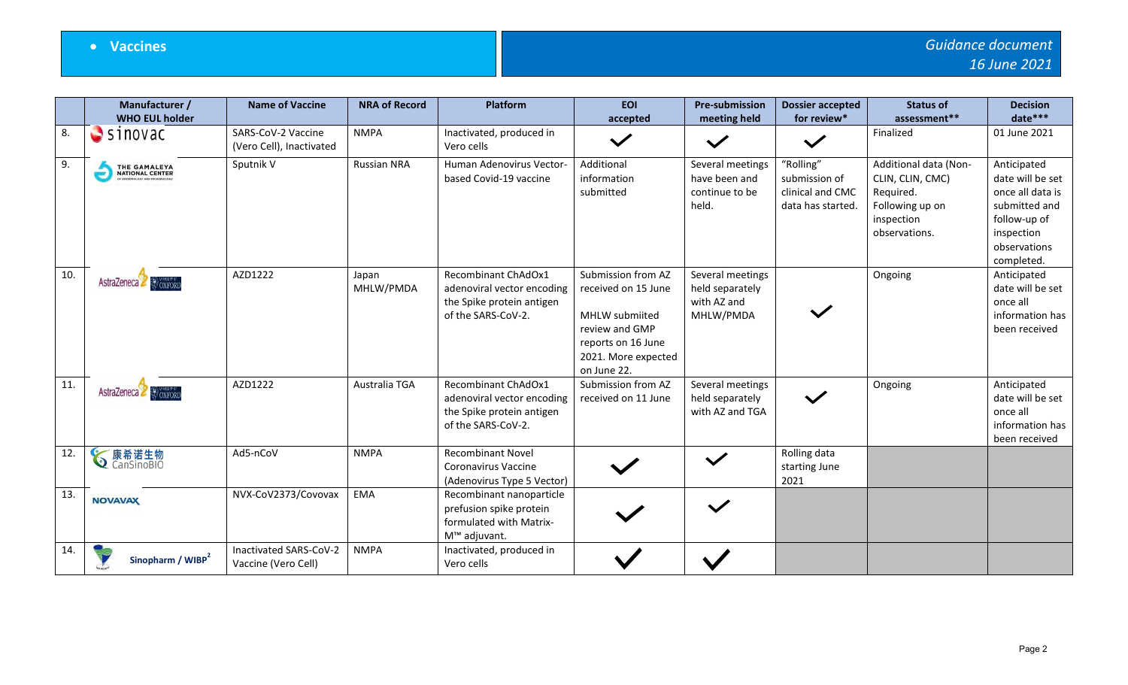|                  | Manufacturer /                  | <b>Name of Vaccine</b>                         | <b>NRA of Record</b> | Platform                                                                                                   | <b>EOI</b>                                                                                                                                       | <b>Pre-submission</b>                                           | <b>Dossier accepted</b>                                             | <b>Status of</b>                                                                                         | <b>Decision</b>                                                                                                                  |
|------------------|---------------------------------|------------------------------------------------|----------------------|------------------------------------------------------------------------------------------------------------|--------------------------------------------------------------------------------------------------------------------------------------------------|-----------------------------------------------------------------|---------------------------------------------------------------------|----------------------------------------------------------------------------------------------------------|----------------------------------------------------------------------------------------------------------------------------------|
|                  | <b>WHO EUL holder</b>           |                                                |                      |                                                                                                            | accepted                                                                                                                                         | meeting held                                                    | for review*                                                         | assessment**                                                                                             | date***                                                                                                                          |
| $\overline{8}$ . | $S$ inovac                      | SARS-CoV-2 Vaccine<br>(Vero Cell), Inactivated | <b>NMPA</b>          | Inactivated, produced in<br>Vero cells                                                                     | $\checkmark$                                                                                                                                     | $\checkmark$                                                    |                                                                     | Finalized                                                                                                | 01 June 2021                                                                                                                     |
| 9.               | THE GAMALEYA<br>NATIONAL CENTER | Sputnik V                                      | <b>Russian NRA</b>   | Human Adenovirus Vector-<br>based Covid-19 vaccine                                                         | Additional<br>information<br>submitted                                                                                                           | Several meetings<br>have been and<br>continue to be<br>held.    | "Rolling"<br>submission of<br>clinical and CMC<br>data has started. | Additional data (Non-<br>CLIN, CLIN, CMC)<br>Required.<br>Following up on<br>inspection<br>observations. | Anticipated<br>date will be set<br>once all data is<br>submitted and<br>follow-up of<br>inspection<br>observations<br>completed. |
| 10.              | <b>OXFORD</b><br>AstraZeneca    | AZD1222                                        | Japan<br>MHLW/PMDA   | Recombinant ChAdOx1<br>adenoviral vector encoding<br>the Spike protein antigen<br>of the SARS-CoV-2.       | Submission from AZ<br>received on 15 June<br><b>MHLW</b> submiited<br>review and GMP<br>reports on 16 June<br>2021. More expected<br>on June 22. | Several meetings<br>held separately<br>with AZ and<br>MHLW/PMDA |                                                                     | Ongoing                                                                                                  | Anticipated<br>date will be set<br>once all<br>information has<br>been received                                                  |
| 11.              | AstraZeneca & OXFORD            | AZD1222                                        | Australia TGA        | Recombinant ChAdOx1<br>adenoviral vector encoding<br>the Spike protein antigen<br>of the SARS-CoV-2.       | Submission from AZ<br>received on 11 June                                                                                                        | Several meetings<br>held separately<br>with AZ and TGA          |                                                                     | Ongoing                                                                                                  | Anticipated<br>date will be set<br>once all<br>information has<br>been received                                                  |
| 12.              | <b>√康希诺生物</b>                   | Ad5-nCoV                                       | <b>NMPA</b>          | <b>Recombinant Novel</b><br><b>Coronavirus Vaccine</b><br>(Adenovirus Type 5 Vector)                       |                                                                                                                                                  | $\checkmark$                                                    | Rolling data<br>starting June<br>2021                               |                                                                                                          |                                                                                                                                  |
| 13.              | <b>NOVAVAX</b>                  | NVX-CoV2373/Covovax                            | EMA                  | Recombinant nanoparticle<br>prefusion spike protein<br>formulated with Matrix-<br>M <sup>™</sup> adjuvant. |                                                                                                                                                  |                                                                 |                                                                     |                                                                                                          |                                                                                                                                  |
| 14.              | Sinopharm / WIBP <sup>2</sup>   | Inactivated SARS-CoV-2<br>Vaccine (Vero Cell)  | <b>NMPA</b>          | Inactivated, produced in<br>Vero cells                                                                     |                                                                                                                                                  |                                                                 |                                                                     |                                                                                                          |                                                                                                                                  |